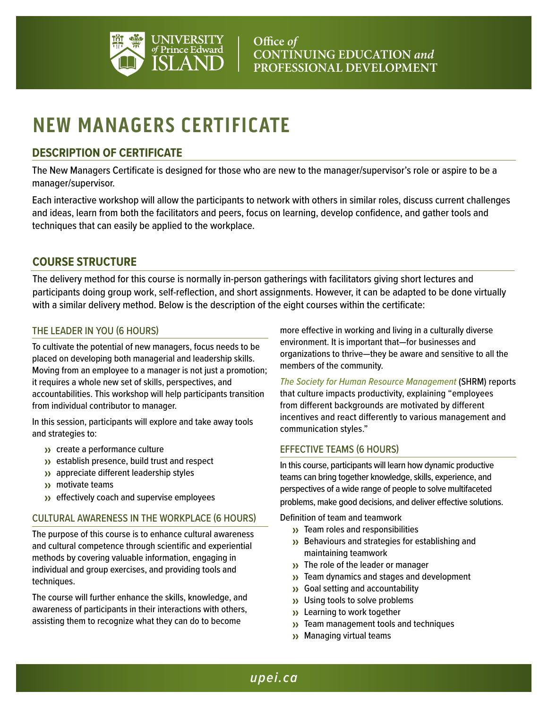

# **NEW MANAGERS CERTIFICATE**

## **DESCRIPTION OF CERTIFICATE**

The New Managers Certificate is designed for those who are new to the manager/supervisor's role or aspire to be a manager/supervisor.

Each interactive workshop will allow the participants to network with others in similar roles, discuss current challenges and ideas, learn from both the facilitators and peers, focus on learning, develop confidence, and gather tools and techniques that can easily be applied to the workplace.

## **COURSE STRUCTURE**

The delivery method for this course is normally in-person gatherings with facilitators giving short lectures and participants doing group work, self-reflection, and short assignments. However, it can be adapted to be done virtually with a similar delivery method. Below is the description of the eight courses within the certificate:

#### THE LEADER IN YOU (6 HOURS)

To cultivate the potential of new managers, focus needs to be placed on developing both managerial and leadership skills. Moving from an employee to a manager is not just a promotion; it requires a whole new set of skills, perspectives, and accountabilities. This workshop will help participants transition from individual contributor to manager.

In this session, participants will explore and take away tools and strategies to:

- >> create a performance culture
- >> establish presence, build trust and respect
- >> appreciate different leadership styles
- >> motivate teams
- >> effectively coach and supervise employees

#### CULTURAL AWARENESS IN THE WORKPLACE (6 HOURS)

The purpose of this course is to enhance cultural awareness and cultural competence through scientific and experiential methods by covering valuable information, engaging in individual and group exercises, and providing tools and techniques.

The course will further enhance the skills, knowledge, and awareness of participants in their interactions with others, assisting them to recognize what they can do to become

more effective in working and living in a culturally diverse environment. It is important that—for businesses and organizations to thrive—they be aware and sensitive to all the members of the community.

*The [Society for Human Resource Management](https://www.shrm.org/pages/default.aspx)* (SHRM) reports that culture impacts productivity, explaining "employees from different backgrounds are motivated by different incentives and react differently to various management and communication styles."

#### EFFECTIVE TEAMS (6 HOURS)

In this course, participants will learn how dynamic productive teams can bring together knowledge, skills, experience, and perspectives of a wide range of people to solve multifaceted problems, make good decisions, and deliver effective solutions.

Definition of team and teamwork

- >> Team roles and responsibilities
- >> Behaviours and strategies for establishing and maintaining teamwork
- >> The role of the leader or manager
- >> Team dynamics and stages and development
- >> Goal setting and accountability
- >> Using tools to solve problems
- >> Learning to work together
- >> Team management tools and techniques
- >> Managing virtual teams